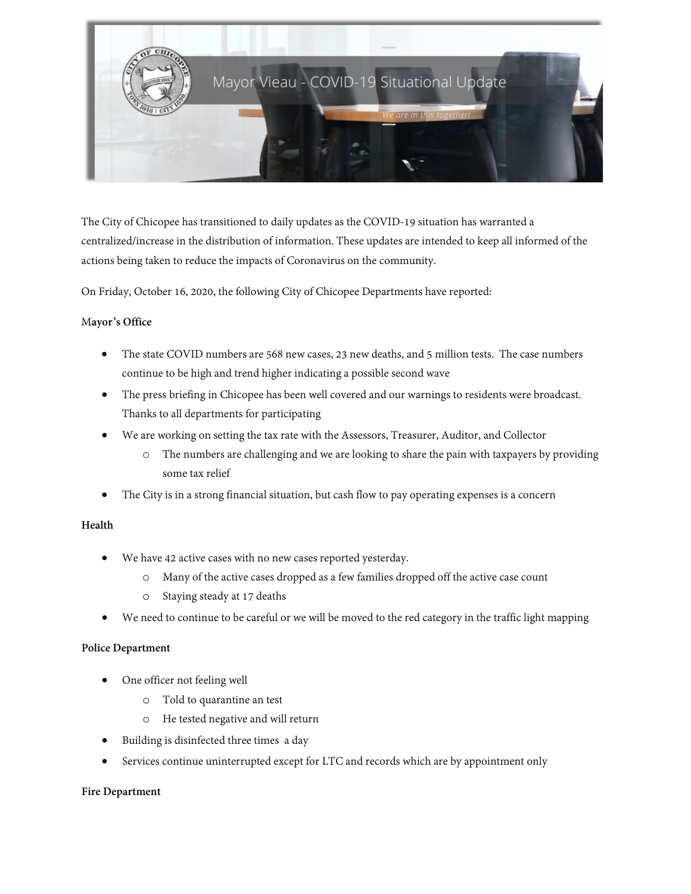

The City of Chicopee has transitioned to daily updates as the COVID-19 situation has warranted a centralized/increase in the distribution of information. These updates are intended to keep all informed of the actions being taken to reduce the impacts of Coronavirus on the community.

On Friday, October 16, 2020, the following City of Chicopee Departments have reported:

#### M**ayor's Office**

- The state COVID numbers are 568 new cases, 23 new deaths, and 5 million tests. The case numbers continue to be high and trend higher indicating a possible second wave
- The press briefing in Chicopee has been well covered and our warnings to residents were broadcast. Thanks to all departments for participating
- We are working on setting the tax rate with the Assessors, Treasurer, Auditor, and Collector
	- o The numbers are challenging and we are looking to share the pain with taxpayers by providing some tax relief
- The City is in a strong financial situation, but cash flow to pay operating expenses is a concern

## **Health**

- We have 42 active cases with no new cases reported yesterday.
	- o Many of the active cases dropped as a few families dropped off the active case count
	- o Staying steady at 17 deaths
- We need to continue to be careful or we will be moved to the red category in the traffic light mapping

#### **Police Department**

- One officer not feeling well
	- o Told to quarantine an test
	- o He tested negative and will return
- Building is disinfected three times a day
- Services continue uninterrupted except for LTC and records which are by appointment only

#### **Fire Department**